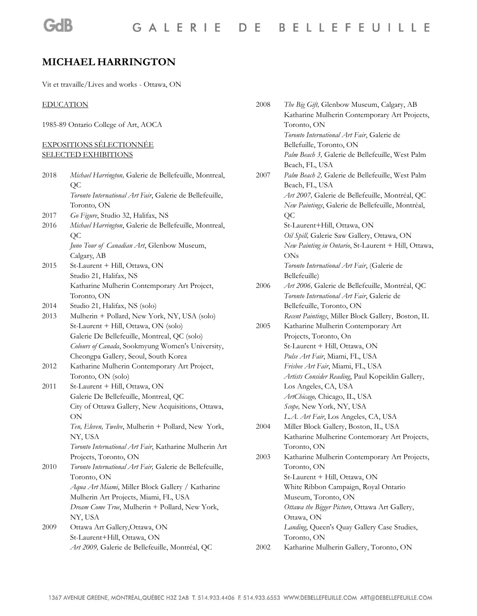# **MICHAEL HARRINGTON**

Vit et travaille/Lives and works - Ottawa, ON

#### EDUCATION

**GdB** 

1985-89 Ontario College of Art, AOCA

#### EXPOSITIONS SÉLECTIONNÉE SELECTED EXHIBITIONS

| 2018 | Michael Harrington, Galerie de Bellefeuille, Montreal,   |
|------|----------------------------------------------------------|
|      | QC                                                       |
|      | Toronto International Art Fair, Galerie de Bellefeuille, |
|      | Toronto, ON                                              |
| 2017 | Go Figure, Studio 32, Halifax, NS                        |
| 2016 | Michael Harrington, Galerie de Bellefeuille, Montreal,   |
|      | <b>QC</b>                                                |
|      | Juno Tour of Canadian Art, Glenbow Museum,               |
|      | Calgary, AB                                              |
| 2015 | St-Laurent + Hill, Ottawa, ON                            |
|      | Studio 21, Halifax, NS                                   |
|      | Katharine Mulherin Contemporary Art Project,             |
|      | Toronto, ON                                              |
| 2014 | Studio 21, Halifax, NS (solo)                            |
| 2013 | Mulherin + Pollard, New York, NY, USA (solo)             |
|      | St-Laurent + Hill, Ottawa, ON (solo)                     |
|      | Galerie De Bellefeuille, Montreal, QC (solo)             |
|      | Colours of Canada, Sookmyung Women's University,         |
|      | Cheongpa Gallery, Seoul, South Korea                     |
| 2012 | Katharine Mulherin Contemporary Art Project,             |
|      | Toronto, ON (solo)                                       |
| 2011 | St-Laurent + Hill, Ottawa, ON                            |
|      | Galerie De Bellefeuille, Montreal, QC                    |
|      | City of Ottawa Gallery, New Acquisitions, Ottawa,        |
|      | ON                                                       |
|      | Ten, Eleven, Twelve, Mulherin + Pollard, New York,       |
|      | NY, USA                                                  |
|      | Toronto International Art Fair, Katharine Mulherin Art   |
|      | Projects, Toronto, ON                                    |
| 2010 | Toronto International Art Fair, Galerie de Bellefeuille, |
|      | Toronto, ON                                              |
|      | Aqua Art Miami, Miller Block Gallery / Katharine         |
|      | Mulherin Art Projects, Miami, FL, USA                    |
|      | Dream Come True, Mulherin + Pollard, New York,           |
|      | NY, USA                                                  |
| 2009 | Ottawa Art Gallery, Ottawa, ON                           |
|      | St-Laurent+Hill, Ottawa, ON                              |
|      | Art 2009, Galerie de Bellefeuille, Montréal, QC          |

| 2008 | The Big Gift, Glenbow Museum, Calgary, AB<br>Katharine Mulherin Contemporary Art Projects, |
|------|--------------------------------------------------------------------------------------------|
|      | Toronto, ON                                                                                |
|      | Toronto International Art Fair, Galerie de                                                 |
|      | Bellefuille, Toronto, ON                                                                   |
|      | Palm Beach 3, Galerie de Bellefeuille, West Palm                                           |
|      | Beach, FL, USA                                                                             |
| 2007 | Palm Beach 2, Galerie de Bellefeuille, West Palm                                           |
|      | Beach, FL, USA                                                                             |
|      | Art 2007, Galerie de Bellefeuille, Montréal, QC                                            |
|      | New Paintings, Galerie de Bellefeuille, Montréal,                                          |
|      | QС                                                                                         |
|      | St-Laurent+Hill, Ottawa, ON                                                                |
|      | Oil Spill, Galerie Saw Gallery, Ottawa, ON                                                 |
|      | New Painting in Ontario, St-Laurent + Hill, Ottawa,                                        |
|      | ONs                                                                                        |
|      | Toronto International Art Fair, (Galerie de                                                |
|      | Bellefeuille)                                                                              |
| 2006 | Art 2006, Galerie de Bellefeuille, Montréal, QC                                            |
|      | Toronto International Art Fair, Galerie de                                                 |
|      | Bellefeuille, Toronto, ON                                                                  |
|      | Recent Paintings, Miller Block Gallery, Boston, IL                                         |
| 2005 | Katharine Mulherin Contemporary Art                                                        |
|      | Projects, Toronto, On                                                                      |
|      | St-Laurent + Hill, Ottawa, ON                                                              |
|      | Pulse Art Fair, Miami, FL, USA                                                             |
|      | Frisbee Art Fair, Miami, FL, USA                                                           |
|      | Artists Consider Reading, Paul Kopeiklin Gallery,                                          |
|      | Los Angeles, CA, USA                                                                       |
|      | ArtChicago, Chicago, IL, USA                                                               |
|      | Scope, New York, NY, USA                                                                   |
|      | L.A. Art Fair, Los Angeles, CA, USA                                                        |
| 2004 | Miller Block Gallery, Boston, IL, USA                                                      |
|      | Katharine Mulherine Contemorary Art Projects,                                              |
|      | Foronto, ON                                                                                |
| 2003 | Katharine Mulherin Contemporary Art Projects,                                              |
|      | Toronto, ON                                                                                |
|      | St-Laurent + Hill, Ottawa, ON                                                              |
|      | White Ribbon Campaign, Royal Ontario                                                       |
|      | Museum, Toronto, ON                                                                        |
|      | Ottawa the Bigger Picture, Ottawa Art Gallery,                                             |
|      | Ottawa, ON                                                                                 |
|      | Landing, Queen's Quay Gallery Case Studies,                                                |
|      | Toronto, ON                                                                                |
| 2002 | Katharine Mulherin Gallery, Toronto, ON                                                    |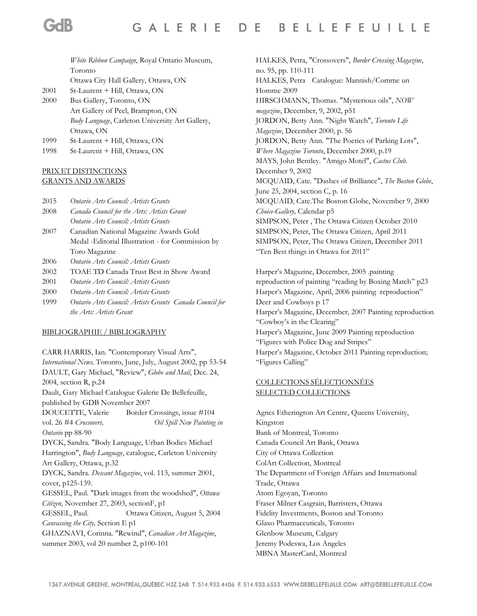*White Ribbon Campaign*, Royal Ontario Museum, Toronto Ottawa City Hall Gallery, Ottawa, ON

- 2001 St-Laurent + Hill, Ottawa, ON
- 2000 Bus Gallery, Toronto, ON Art Gallery of Peel, Brampton, ON *Body Language*, Carleton University Art Gallery, Ottawa, ON
- 1999 St-Laurent + Hill, Ottawa, ON
- 1998 St-Laurent + Hill, Ottawa, ON

#### PRIX ET DISTINCTIONS GRANTS AND AWARDS

2015 *Ontario Arts Council: Artists Grants*

- 2008 *Canada Council for the Arts: Artists Grant Ontario Arts Council: Artists Grants*
- 2007 Canadian National Magazine Awards Gold Medal -Editorial Illustration - for Commission by Toro Magazine
- 2006 *Ontario Arts Council: Artists Grants*
- 2002 TOAE TD Canada Trust Best in Show Award
- 2001 *Ontario Arts Council: Artists Grants*
- 2000 *Ontario Arts Council: Artists Grants*
- 1999 *Ontario Arts Council: Artists Grants Canada Council for the Arts: Artists Grant*

#### BIBLIOGRAPHIE / BIBLIOGRAPHY

CARR HARRIS, Ian. "Contemporary Visual Arts", *International News,* Toronto, June, July, August 2002, pp 53-54 DAULT, Gary Michael, "Review", *Globe and Mail*, Dec. 24, 2004, section R, p.24 Dault, Gary Michael Catalogue Galerie De Bellefeuille, published by GDB November 2007 DOUCETTE, Valerie Border Crossings, issue #104 vol. 26 #4 *Crossovers, Oil Spill New Painting in Ontario* pp 88-90 DYCK, Sandra. "Body Language, Urban Bodies Michael Harrington", *Body Language*, catalogue, Carleton University Art Gallery, Ottawa, p.32 DYCK, Sandra. *Descant Magazine*, vol. 113, summer 2001, cover, p125-139. GESSEL, Paul. "Dark images from the woodshed", *Ottawa Citizen*, November 27, 2003, sectionF, p1 GESSEL, Paul. Ottawa Citizen, August 5, 2004 *Canvassing the City,* Section E p1 GHAZNAVI, Corinna. "Rewind", *Canadian Art Magazine*, summer 2003, vol 20 number 2, p100-101

HALKES, Petra, "Crossovers", *Border Crossing Magazine*, no. 95, pp. 110-111 HALKES, Petra Catalogue: Mannish/Comme un Homme 2009 HIRSCHMANN, Thomas. "Mysterious oils", *NOW magazine*, December, 9, 2002, p51 JORDON, Betty Ann. "Night Watch", *Toronto Life Magazine*, December 2000, p. 56 JORDON, Betty Ann. "The Poetics of Parking Lots", *Where Magazine Toronto*, December 2000, p.19 MAYS, John Bentley. "Amigo Motel", *Cactus Club*. December 9, 2002 MCQUAID, Cate. "Dashes of Brilliance", *The Boston Globe*, June 25, 2004, section C, p. 16 MCQUAID, Cate.The Boston Globe, November 9, 2000 *Choice-Gallery,* Calendar p5 SIMPSON, Peter , The Ottawa Citizen October 2010 SIMPSON, Peter, The Ottawa Citizen, April 2011 SIMPSON, Peter, The Ottawa Citizen, December 2011 "Ten Best things in Ottawa for 2011"

Harper's Magazine, December, 2005 .painting reproduction of painting "reading by Boxing Match" p23 Harper's Magazine, April, 2006 painting reproduction" Deer and Cowboys p 17 Harper's Magazine, December, 2007 Painting reproduction "Cowboy's in the Clearing" Harper's Magazine, June 2009 Painting reproduction "Figures with Police Dog and Stripes" Harper's Magazine, October 2011 Painting reproduction; "Figures Calling"

## COLLECTIONS SÉLECTIONNÉES SELECTED COLLECTIONS

Agnes Etherington Art Centre, Queens University, Kingston Bank of Montreal, Toronto Canada Council Art Bank, Ottawa City of Ottawa Collection ColArt Collection, Montreal The Department of Foreign Affairs and International Trade, Ottawa Atom Egoyan, Toronto Fraser Milner Casgrain, Barristers, Ottawa Fidelity Investments, Boston and Toronto Glaxo Pharmaceuticals, Toronto Glenbow Museum, Calgary Jeremy Podeswa, Los Angeles MBNA MasterCard, Montreal